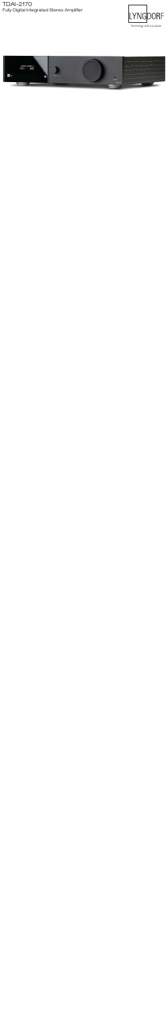## Fully Digital Integrated Stereo Amplifier TDAI-2170



Technology with a purpose

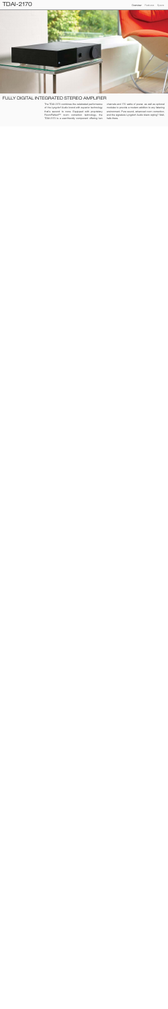

#### FULLY DIGITAL INTEGRATED STEREO AMPLIFIER

The TDAI-2170 combines the celebrated performance of the Lyngdorf Audio brand with superior technology that's second to none. Equipped with proprietary RoomPerfect™ room correction technology, the TDAI-2170 is a user-friendly component offering two

channels and 170 watts of power, as well as optional modules to provide a modern addition to any listening environment. Pure sound, advanced room correction, and the signature Lyngdorf Audio black styling? Well, hello there.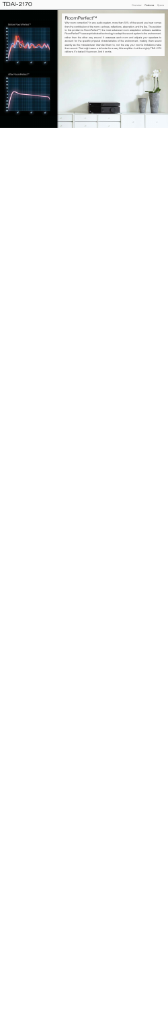Before RoomPerfect™ precision machining behind each speaker, the Steinway of Steinway and Steinway and Steinway and Steinway and S 20 Lyngdorf Model D is a rugged powerhouse of strength and performance. The baffl e is milled from solid blocks and solid blocks and solid blocks and solid blocks and  $\overline{\phantom{a}}$  and  $\overline{\phantom{a}}$  and  $\overline{\phantom{a}}$  and  $\overline{\phantom{a}}$  and  $\overline{\phantom{a}}$  and  $\overline{\phantom{a}}$  $\Delta I$   $\Delta A$   $\Delta B$   $\Delta A$ it's not find the nature of the state is find that the state is find that it is a strategy of the state in the stabilized synchronic synchronic synchronic synchronic synchronic synchronic synchronic synchronic synchronic synchronic synchronic synchronic synchronic synchronic synchronic synchronic synchronic synchronic synchronic sy stands its ground. And it stands alone.  $10^3$ w



### RoomPerfect™

from the contribution of the room—echoes, reflections, absorption, and the like. The solution standing and a speaker which is a speaker which experience the most advantant from  $\mu$ both from and back  $\alpha$  and  $\beta$  is the souring system to the environment nu. It assesses each room and adjusts your speakers  $\alpha$  characteristics of the environment, making them sour  $p$ rided them to, not the way your room's immations mat them sound. That might seem a tall order for a sexy little amplifier—but the mighty TDAI-2170 The Model D is always dressed to this problem is RoomPerfect™, the most advanced room adaptation software available. iconic presentive by the legendary Steinway Steinway Steinway & Sons factory in Hamburg, Germany. Steinway Steinway Steinway Steinway Steinway Steinway Steinway Steinway Steinway Steinway Steinway Steinway Steinway Steinw and the Model D is also available in a wide selection of expression of example in a wide selection of example in a wide selection of example in a wide selection of the Model D is also available in a wide selection of the M account for the specific physical characteristics of the environment, making them sound<br>account for the specific physical characteristics of the environment, making them sound  $\mathbb{A}$   $\mathbb{A}$   $\mathbb{A}$  exactly as the manufacturer intended them to, not the way your room's limitations make Why room correction? In any audio system, more than 50% of the sound you hear comes delivers. It's tested. It's proven. And it works.

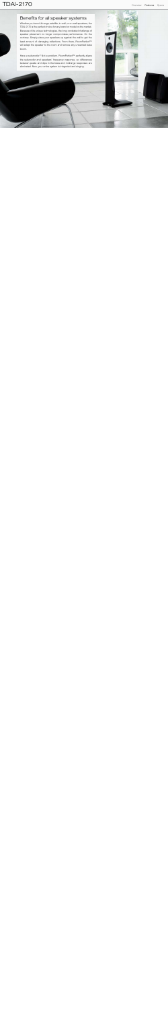## TDAI-2170 **Contract Specs** Specs and the Specs of the Specs of the Specs of the Specs of the Overview Features Specs



Whether you have full range, satellite, in-wall, or on-wall speakers, the TDAI-2170 is the perfect choice for any brand or model on the market. Because of its unique technologies, the long-contested challenge of speaker placement no longer compromises performance. On the contrary. Simply place your speakers up against the wall to get the least amount of damaging reflections. From there, RoomPerfect™ will adapt the speaker to the room and remove any unwanted bass boom.

Have a subwoofer? Not a problem. RoomPerfect™ perfectly aligns the subwoofer and speakers' frequency response, so differences between peaks and dips in the bass and midrange responses are eliminated. Now, your entire system is integrated and singing.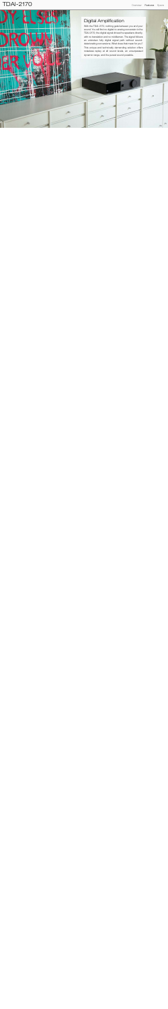

## Digital Amplification

With the TDAI-2170, nothing gets between you and your sound. You will find no digital-to-analog conversion in the TDAI-2170; the digital signal drives the speakers directly, with no translation and no middleman. The signal follows an unbroken fully digital signal path without sounddeteriorating conversions. What does that mean for you? This unique and technically demanding solution offers noiseless replay at all sound levels, an unsurpassed dynamic range, and the purest sound possible.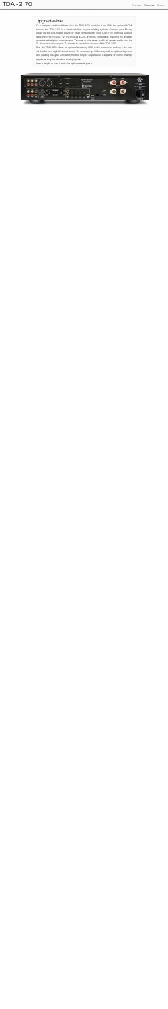## Upgradeable

module, the TDAI-2170 is a smart addition to your existing system. Connect your Blu-ray player, set-top box, media player, or other component to your TDAI-2170 and have just one cable from there to your TV. The module is CEC and ARC compatible, meaning the amplifier can automatically turn on when your TV does, or vice versa, and it will receive audio from the Fact the remainder interacts with the room like a Steing with the room interaction of the TDAI-2170.<br>TV. You can even use your TV remote to control the volume of the TDAI-2170. It's a complex world out there—but the TDAI-2170 can take it on. With the optional HDMI

Plus, the TDAI-2170 offers an optional streaming USB audio in module, making it the best solution for your digitally stored music. You can even go all the way with an optional high-end ADC (Analog to Digital Converter) module for your Super Audio CD player or phono preamp, supplementing the standard analog inputs.

Keep it simple or max it out—the options are all yours.

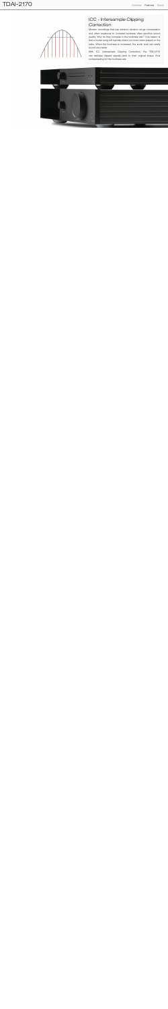## TDAI-2170 **Contract Specs** Specs and the Specs of the Specs of the Specs of the Specs of the Overview Features Specs



## **The ICC - Intersample Clipping** Correction

Modern recordings that use extreme dynamic range compression including the legendary of the legendary sound from the legendary Steing Completed by hand at the legendary Stein Steing Completed by the legendary of the sound and other measures to increase loudness often sacrifice sound quality. Why do they compete in the loudness war? One reason is that a louder song will typically stand out more when played on the baffl e speaker interaction with the room like a Steinway and room like a Steinway and Steinway and Steinway a<br>The room like a Steinway and Steinway and Steinway and Steinway and Steinway and Steinway and Steinway and Stei grand piano does, resulting in extremely open and life-like  $m<sub>1</sub>$  musicality. No coloration. No coloration. No coloration. No contract  $\alpha$ Lyngdorf craftsmen ensure that the fi nish of each component attains the highest standard of quality. Because radio. When the loudness is increased, the audio level can easily sound very harsh.

With ICC (Intersample Clipping Correction), the TDAI-2170 can reshape clipped signals back to their original shape, thus compensating for the loudness war.

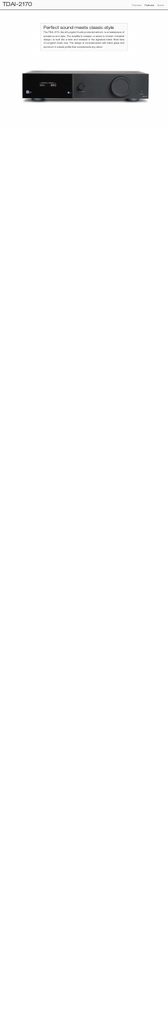#### Perfect sound meets classic style **Representation**

The TDAI-2170, like all Lyngdorf Audio products before it, is a masterpiece of substance and style. The amplifier's chassis-a salute to modern industrial design-is built like a tank and dressed in the signature black finish fans of Lyngdorf Audio love. The design is complemented with black glass and grand piano does, resulting in extremely open and life-like aluminum in a sleek profile that complements any décor.

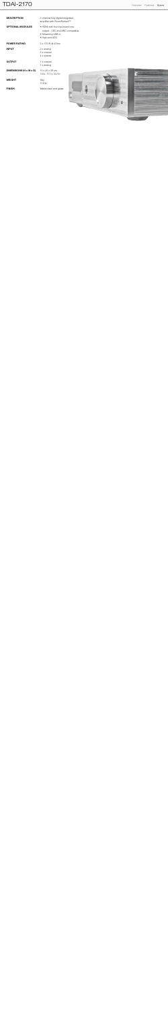| <b>DESCRIPTION</b>      | 2-channel fully digital integrated<br>amplifier with RoomPerfect™                                          |
|-------------------------|------------------------------------------------------------------------------------------------------------|
| <b>OPTIONAL MODULES</b> | • HDMI with four inputs and one<br>output - CEC and ARC compatible<br>• Streaming USB in<br>• High-end ADC |
| <b>POWER RATING</b>     | 2 x 170 W @ 40hm                                                                                           |
| <b>INPUT</b>            | $2 \times$ analog<br>2 x coaxial<br>4 x optical                                                            |
| <b>OUTPUT</b>           | 1 x coaxial<br>1 x analog                                                                                  |
| DIMENSIONS (H x W x D)  | $10 \times 45 \times 36$ cm<br>$3.9 \times 17.7 \times 14.2$ in                                            |
| <b>WEIGHT</b>           | 8kg<br>17.6 lb                                                                                             |
| <b>FINISH</b>           | Matte black and glass                                                                                      |